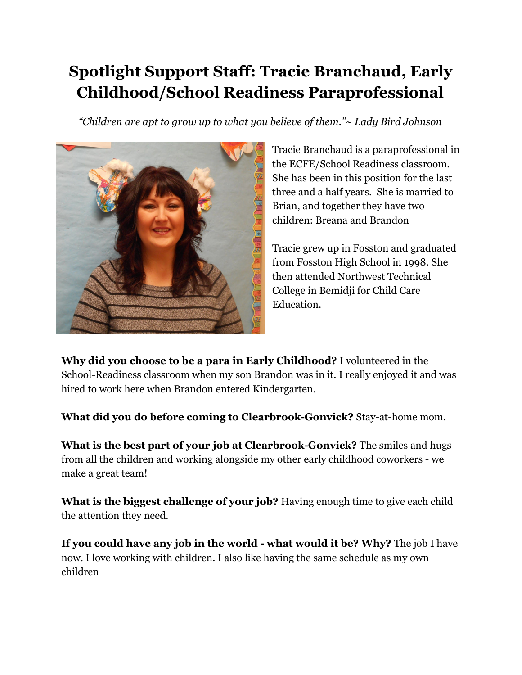## **Spotlight Support Staff: Tracie Branchaud, Early Childhood/School Readiness Paraprofessional**

*"Children are apt to grow up to what you believe of them."~ Lady Bird Johnson*



Tracie Branchaud is a paraprofessional in the ECFE/School Readiness classroom. She has been in this position for the last three and a half years. She is married to Brian, and together they have two children: Breana and Brandon

Tracie grew up in Fosston and graduated from Fosston High School in 1998. She then attended Northwest Technical College in Bemidji for Child Care Education.

**Why did you choose to be a para in Early Childhood?** I volunteered in the School-Readiness classroom when my son Brandon was in it. I really enjoyed it and was hired to work here when Brandon entered Kindergarten.

**What did you do before coming to Clearbrook-Gonvick?** Stay-at-home mom.

**What is the best part of your job at Clearbrook-Gonvick?** The smiles and hugs from all the children and working alongside my other early childhood coworkers - we make a great team!

**What is the biggest challenge of your job?** Having enough time to give each child the attention they need.

**If you could have any job in the world - what would it be? Why?** The job I have now. I love working with children. I also like having the same schedule as my own children